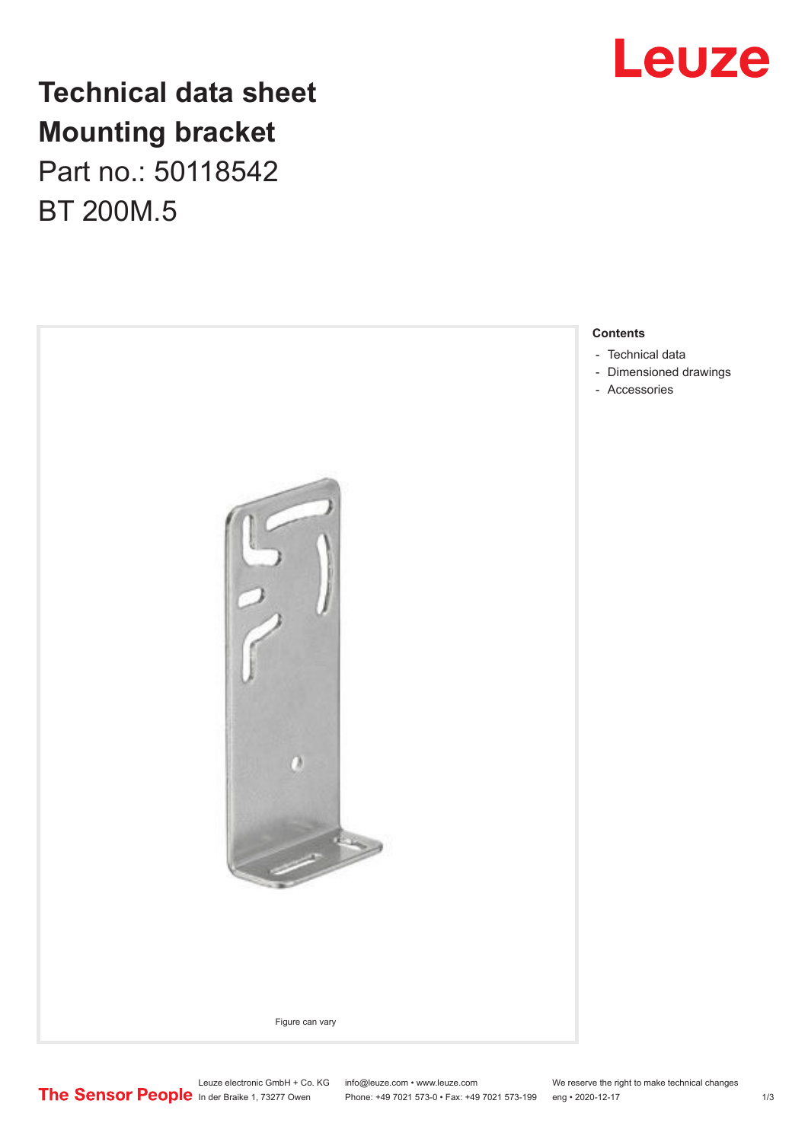

# **Technical data sheet Mounting bracket**

Part no.: 50118542 BT 200M.5

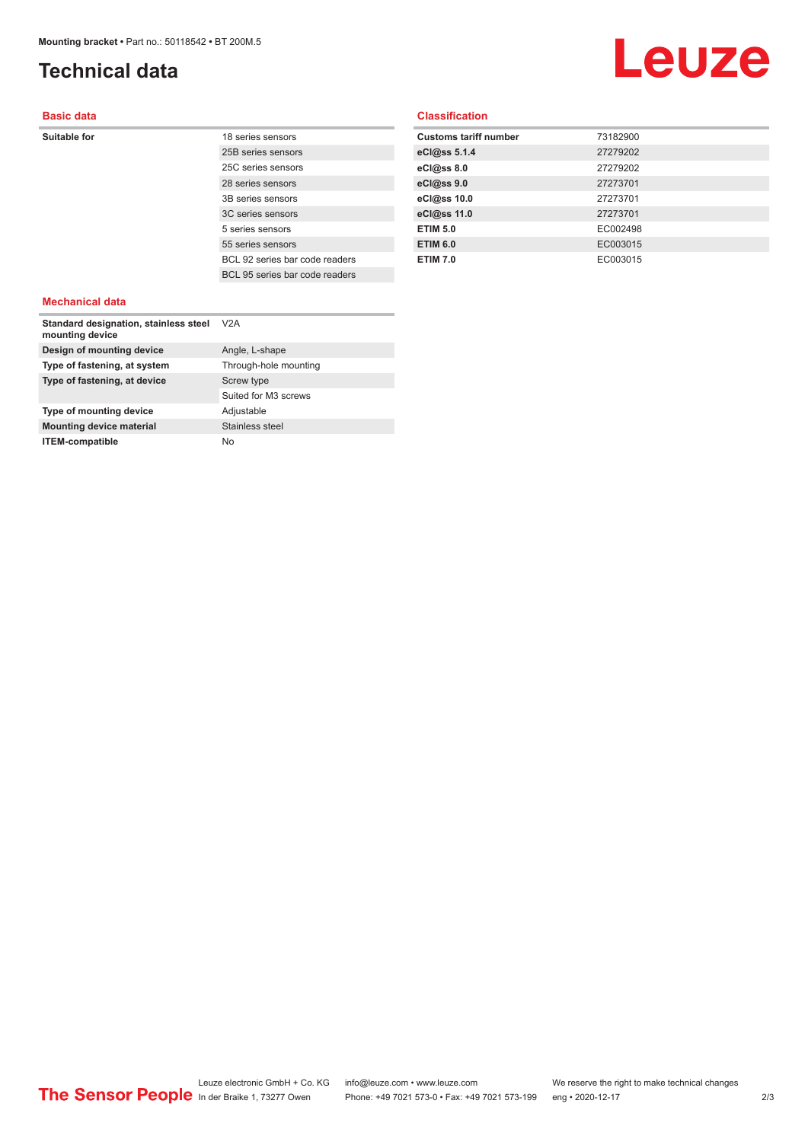## <span id="page-1-0"></span>**Technical data**

# Leuze

#### **Basic data**

**Suitable for** 18 series sensors 25B series sensors 25C series sensors 28 series sensors 3B series sensors 3C series sensors 5 series sensors 55 series sensors BCL 92 series bar code readers BCL 95 series bar code readers

#### **Classification**

| <b>Customs tariff number</b> | 73182900 |
|------------------------------|----------|
| eCl@ss 5.1.4                 | 27279202 |
| eCl@ss 8.0                   | 27279202 |
| eCl@ss 9.0                   | 27273701 |
| eCl@ss 10.0                  | 27273701 |
| eCl@ss 11.0                  | 27273701 |
| <b>ETIM 5.0</b>              | EC002498 |
| <b>ETIM 6.0</b>              | EC003015 |
| <b>ETIM 7.0</b>              | EC003015 |

#### **Mechanical data**

| Standard designation, stainless steel<br>mounting device | V2A                   |
|----------------------------------------------------------|-----------------------|
| Design of mounting device                                | Angle, L-shape        |
| Type of fastening, at system                             | Through-hole mounting |
| Type of fastening, at device                             | Screw type            |
|                                                          | Suited for M3 screws  |
| Type of mounting device                                  | Adjustable            |
| <b>Mounting device material</b>                          | Stainless steel       |
| <b>ITEM-compatible</b>                                   | No                    |